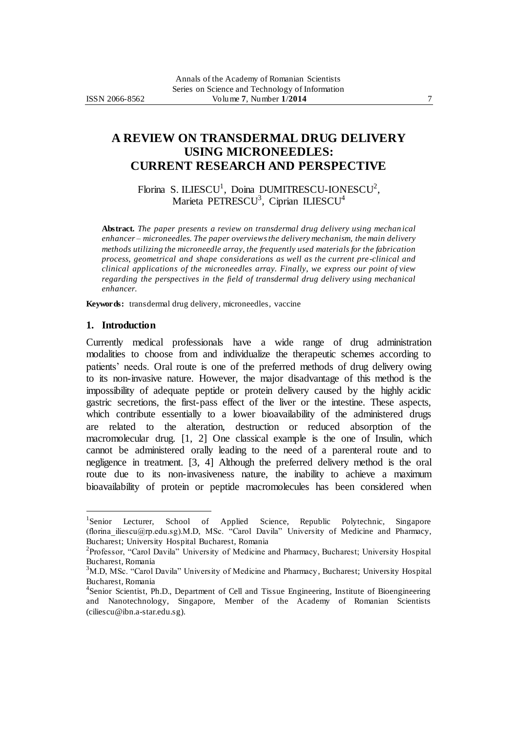# **A REVIEW ON TRANSDERMAL DRUG DELIVERY USING MICRONEEDLES: CURRENT RESEARCH AND PERSPECTIVE**

Florina S. ILIESCU<sup>1</sup>, Doina DUMITRESCU-IONESCU<sup>2</sup>, Marieta PETRESCU<sup>3</sup>, Ciprian ILIESCU<sup>4</sup>

**Abstract.** *The paper presents a review on transdermal drug delivery using mechan ical enhancer – microneedles. The paper overviewsthe delivery mechanism, the main delivery methods utilizing the microneedle array, the frequently used materials for the fabrication process, geometrical and shape considerations as well as the current pre-clinical and clinical applications of the microneedles array. Finally, we express our point of view regarding the perspectives in the field of transdermal drug delivery using mechanical enhancer.*

**Keywords:** transdermal drug delivery, microneedles, vaccine

#### **1. Introduction**

 $\overline{a}$ 

Currently medical professionals have a wide range of drug administration modalities to choose from and individualize the therapeutic schemes according to patients' needs. Oral route is one of the preferred methods of drug delivery owing to its non-invasive nature. However, the major disadvantage of this method is the impossibility of adequate peptide or protein delivery caused by the highly acidic gastric secretions, the first-pass effect of the liver or the intestine. These aspects, which contribute essentially to a lower bioavailability of the administered drugs are related to the alteration, destruction or reduced absorption of the macromolecular drug. [1, 2] One classical example is the one of Insulin, which cannot be administered orally leading to the need of a parenteral route and to negligence in treatment. [3, 4] Although the preferred delivery method is the oral route due to its non-invasiveness nature, the inability to achieve a maximum bioavailability of protein or peptide macromolecules has been considered when

<sup>&</sup>lt;sup>1</sup>Senior Lecturer, School of Applied Science, Republic Polytechnic, Singapore (florina\_iliescu@rp.edu.sg).M.D, MSc. ―Carol Davila‖ University of Medicine and Pharmacy, Bucharest; University Hospital Bucharest, Romania

<sup>&</sup>lt;sup>2</sup>Professor, "Carol Davila" University of Medicine and Pharmacy, Bucharest; University Hospital Bucharest, Romania

 $3<sup>3</sup>M.D,$  MSc. "Carol Davila" University of Medicine and Pharmacy, Bucharest; University Hospital Bucharest, Romania

<sup>&</sup>lt;sup>4</sup>Senior Scientist, Ph.D., Department of Cell and Tissue Engineering, Institute of Bioengineering and Nanotechnology, Singapore, Member of the Academy of Romanian Scientists [\(ciliescu@ibn.a-star.edu.sg\).](mailto:ciliescu@ibn.a-star.edu.sg)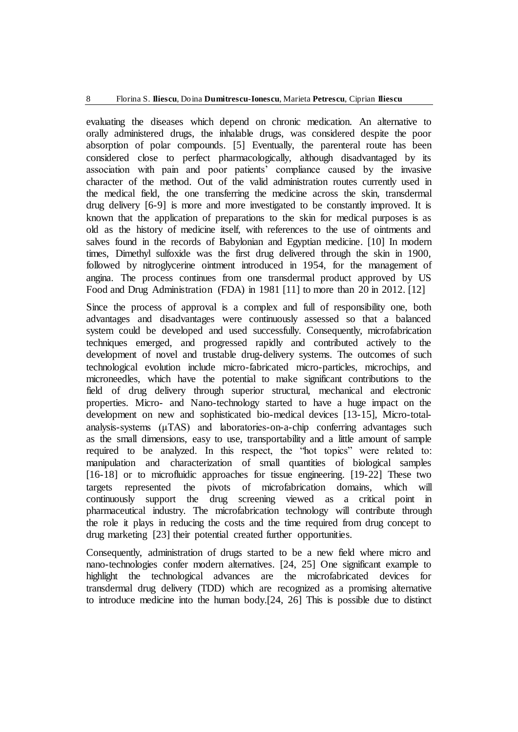evaluating the diseases which depend on chronic medication. An alternative to orally administered drugs, the inhalable drugs, was considered despite the poor absorption of polar compounds. [5] Eventually, the parenteral route has been considered close to perfect pharmacologically, although disadvantaged by its association with pain and poor patients' compliance caused by the invasive character of the method. Out of the valid administration routes currently used in the medical field, the one transferring the medicine across the skin, transdermal drug delivery [6-9] is more and more investigated to be constantly improved. It is known that the application of preparations to the skin for medical purposes is as old as the history of medicine itself, with references to the use of ointments and salves found in the records of Babylonian and Egyptian medicine. [10] In modern times, Dimethyl sulfoxide was the first drug delivered through the skin in 1900, followed by nitroglycerine ointment introduced in 1954, for the management of angina. The process continues from one transdermal product approved by US Food and Drug Administration (FDA) in 1981 [11] to more than 20 in 2012. [12]

Since the process of approval is a complex and full of responsibility one, both advantages and disadvantages were continuously assessed so that a balanced system could be developed and used successfully. Consequently, microfabrication techniques emerged, and progressed rapidly and contributed actively to the development of novel and trustable drug-delivery systems. The outcomes of such technological evolution include micro-fabricated micro-particles, microchips, and microneedles, which have the potential to make significant contributions to the field of drug delivery through superior structural, mechanical and electronic properties. Micro- and Nano-technology started to have a huge impact on the development on new and sophisticated bio-medical devices [13-15], Micro-totalanalysis-systems (μTAS) and laboratories-on-a-chip conferring advantages such as the small dimensions, easy to use, transportability and a little amount of sample required to be analyzed. In this respect, the "hot topics" were related to: manipulation and characterization of small quantities of biological samples [16-18] or to microfluidic approaches for tissue engineering. [19-22] These two targets represented the pivots of microfabrication domains, which will continuously support the drug screening viewed as a critical point in pharmaceutical industry. The microfabrication technology will contribute through the role it plays in reducing the costs and the time required from drug concept to drug marketing [23] their potential created further opportunities.

Consequently, administration of drugs started to be a new field where micro and nano-technologies confer modern alternatives. [24, 25] One significant example to highlight the technological advances are the microfabricated devices for transdermal drug delivery (TDD) which are recognized as a promising alternative to introduce medicine into the human body.[24, 26] This is possible due to distinct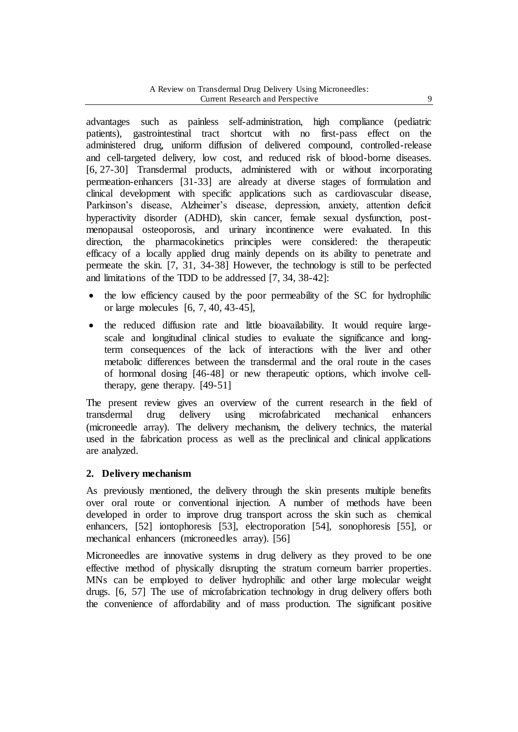advantages such as painless self-administration, high compliance (pediatric patients), gastrointestinal tract shortcut with no first-pass effect on the administered drug, uniform diffusion of delivered compound, controlled-release and cell-targeted delivery, low cost, and reduced risk of blood-borne diseases. [6, 27-30] Transdermal products, administered with or without incorporating permeation-enhancers [31-33] are already at diverse stages of formulation and clinical development with specific applications such as cardiovascular disease, Parkinson's disease, Alzheimer's disease, depression, anxiety, attention deficit hyperactivity disorder (ADHD), skin cancer, female sexual dysfunction, postmenopausal osteoporosis, and urinary incontinence were evaluated. In this direction, the pharmacokinetics principles were considered: the therapeutic efficacy of a locally applied drug mainly depends on its ability to penetrate and permeate the skin. [7, 31, 34-38] However, the technology is still to be perfected and limitations of the TDD to be addressed [7, 34, 38-42]:

- the low efficiency caused by the poor permeability of the SC for hydrophilic or large molecules [6, 7, 40, 43-45],
- the reduced diffusion rate and little bioavailability. It would require largescale and longitudinal clinical studies to evaluate the significance and longterm consequences of the lack of interactions with the liver and other metabolic differences between the transdermal and the oral route in the cases of hormonal dosing [46-48] or new therapeutic options, which involve celltherapy, gene therapy. [49-51]

The present review gives an overview of the current research in the field of transdermal drug delivery using microfabricated mechanical enhancers (microneedle array). The delivery mechanism, the delivery technics, the material used in the fabrication process as well as the preclinical and clinical applications are analyzed.

### **2. Delivery mechanism**

As previously mentioned, the delivery through the skin presents multiple benefits over oral route or conventional injection. A number of methods have been developed in order to improve drug transport across the skin such as chemical enhancers, [52] iontophoresis [53], electroporation [54], sonophoresis [55], or mechanical enhancers (microneedles array). [56]

Microneedles are innovative systems in drug delivery as they proved to be one effective method of physically disrupting the stratum corneum barrier properties. MNs can be employed to deliver hydrophilic and other large molecular weight drugs. [6, 57] The use of microfabrication technology in drug delivery offers both the convenience of affordability and of mass production. The significant positive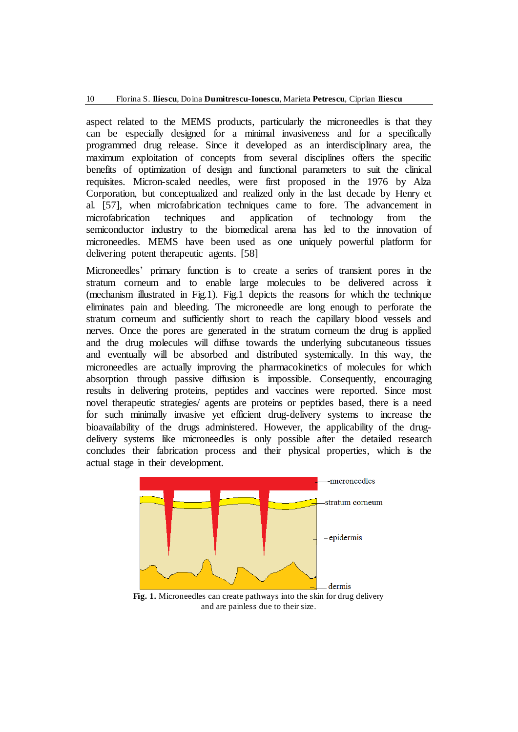aspect related to the MEMS products, particularly the microneedles is that they can be especially designed for a minimal invasiveness and for a specifically programmed drug release. Since it developed as an interdisciplinary area, the maximum exploitation of concepts from several disciplines offers the specific benefits of optimization of design and functional parameters to suit the clinical requisites. Micron-scaled needles, were first proposed in the 1976 by Alza Corporation, but conceptualized and realized only in the last decade by Henry et al. [57], when microfabrication techniques came to fore. The advancement in microfabrication techniques and application of technology from the semiconductor industry to the biomedical arena has led to the innovation of microneedles. MEMS have been used as one uniquely powerful platform for delivering potent therapeutic agents. [58]

Microneedles' primary function is to create a series of transient pores in the stratum corneum and to enable large molecules to be delivered across it (mechanism illustrated in Fig.1). Fig.1 depicts the reasons for which the technique eliminates pain and bleeding. The microneedle are long enough to perforate the stratum corneum and sufficiently short to reach the capillary blood vessels and nerves. Once the pores are generated in the stratum corneum the drug is applied and the drug molecules will diffuse towards the underlying subcutaneous tissues and eventually will be absorbed and distributed systemically. In this way, the microneedles are actually improving the pharmacokinetics of molecules for which absorption through passive diffusion is impossible. Consequently, encouraging results in delivering proteins, peptides and vaccines were reported. Since most novel therapeutic strategies/ agents are proteins or peptides based, there is a need for such minimally invasive yet efficient drug-delivery systems to increase the bioavailability of the drugs administered. However, the applicability of the drugdelivery systems like microneedles is only possible after the detailed research concludes their fabrication process and their physical properties, which is the actual stage in their development.



Fig. 1. Microneedles can create pathways into the skin for drug delivery and are painless due to their size.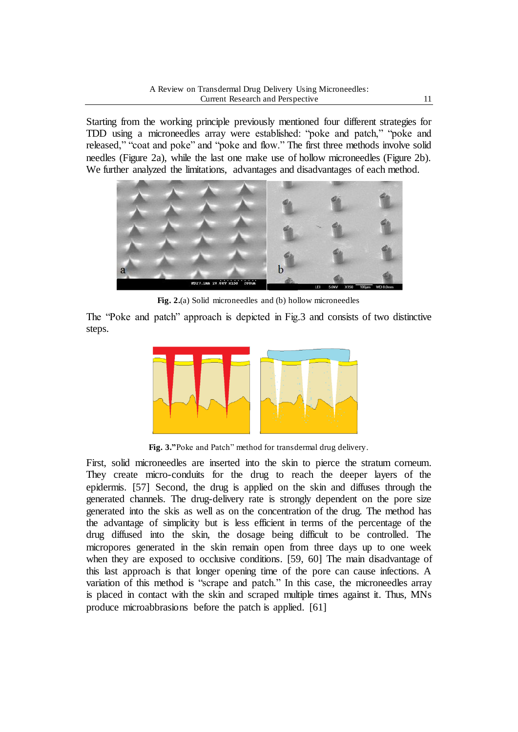Starting from the working principle previously mentioned four different strategies for TDD using a microneedles array were established: "poke and patch," "poke and released," "coat and poke" and "poke and flow." The first three methods involve solid needles (Figure 2a), while the last one make use of hollow microneedles (Figure 2b). We further analyzed the limitations, advantages and disadvantages of each method.



**Fig. 2.**(a) Solid microneedles and (b) hollow microneedles

The "Poke and patch" approach is depicted in Fig.3 and consists of two distinctive steps.



Fig. 3."Poke and Patch" method for transdermal drug delivery.

First, solid microneedles are inserted into the skin to pierce the stratum corneum. They create micro-conduits for the drug to reach the deeper layers of the epidermis. [57] Second, the drug is applied on the skin and diffuses through the generated channels. The drug-delivery rate is strongly dependent on the pore size generated into the skis as well as on the concentration of the drug. The method has the advantage of simplicity but is less efficient in terms of the percentage of the drug diffused into the skin, the dosage being difficult to be controlled. The micropores generated in the skin remain open from three days up to one week when they are exposed to occlusive conditions. [59, 60] The main disadvantage of this last approach is that longer opening time of the pore can cause infections. A variation of this method is "scrape and patch." In this case, the microneedles array is placed in contact with the skin and scraped multiple times against it. Thus, MNs produce microabbrasions before the patch is applied. [61]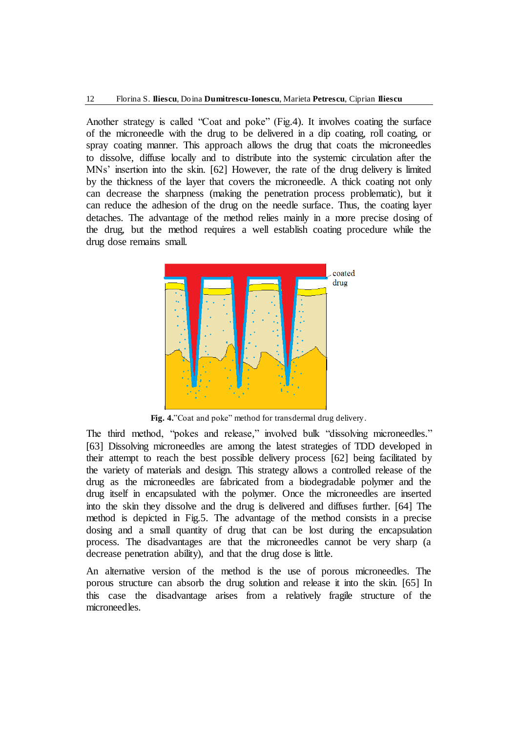Another strategy is called "Coat and poke" (Fig.4). It involves coating the surface of the microneedle with the drug to be delivered in a dip coating, roll coating, or spray coating manner. This approach allows the drug that coats the microneedles to dissolve, diffuse locally and to distribute into the systemic circulation after the MNs' insertion into the skin. [62] However, the rate of the drug delivery is limited by the thickness of the layer that covers the microneedle. A thick coating not only can decrease the sharpness (making the penetration process problematic), but it can reduce the adhesion of the drug on the needle surface. Thus, the coating layer detaches. The advantage of the method relies mainly in a more precise dosing of the drug, but the method requires a well establish coating procedure while the drug dose remains small.



Fig. 4."Coat and poke" method for transdermal drug delivery.

The third method, "pokes and release," involved bulk "dissolving microneedles." [63] Dissolving microneedles are among the latest strategies of TDD developed in their attempt to reach the best possible delivery process [62] being facilitated by the variety of materials and design. This strategy allows a controlled release of the drug as the microneedles are fabricated from a biodegradable polymer and the drug itself in encapsulated with the polymer. Once the microneedles are inserted into the skin they dissolve and the drug is delivered and diffuses further. [64] The method is depicted in Fig.5. The advantage of the method consists in a precise dosing and a small quantity of drug that can be lost during the encapsulation process. The disadvantages are that the microneedles cannot be very sharp (a decrease penetration ability), and that the drug dose is little.

An alternative version of the method is the use of porous microneedles. The porous structure can absorb the drug solution and release it into the skin. [65] In this case the disadvantage arises from a relatively fragile structure of the microneedles.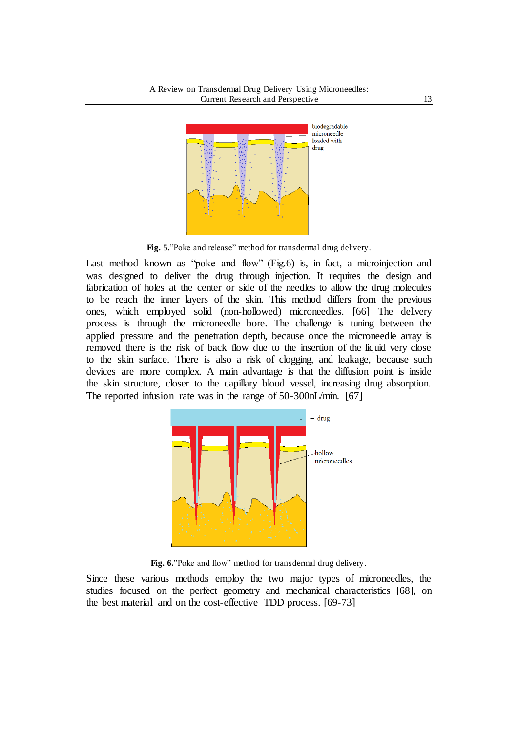

Fig. 5. "Poke and release" method for transdermal drug delivery.

Last method known as "poke and flow" (Fig.6) is, in fact, a microinjection and was designed to deliver the drug through injection. It requires the design and fabrication of holes at the center or side of the needles to allow the drug molecules to be reach the inner layers of the skin. This method differs from the previous ones, which employed solid (non-hollowed) microneedles. [66] The delivery process is through the microneedle bore. The challenge is tuning between the applied pressure and the penetration depth, because once the microneedle array is removed there is the risk of back flow due to the insertion of the liquid very close to the skin surface. There is also a risk of clogging, and leakage, because such devices are more complex. A main advantage is that the diffusion point is inside the skin structure, closer to the capillary blood vessel, increasing drug absorption. The reported infusion rate was in the range of 50-300nL/min. [67]



Fig. 6. "Poke and flow" method for transdermal drug delivery.

Since these various methods employ the two major types of microneedles, the studies focused on the perfect geometry and mechanical characteristics [68], on the best material and on the cost-effective TDD process. [69-73]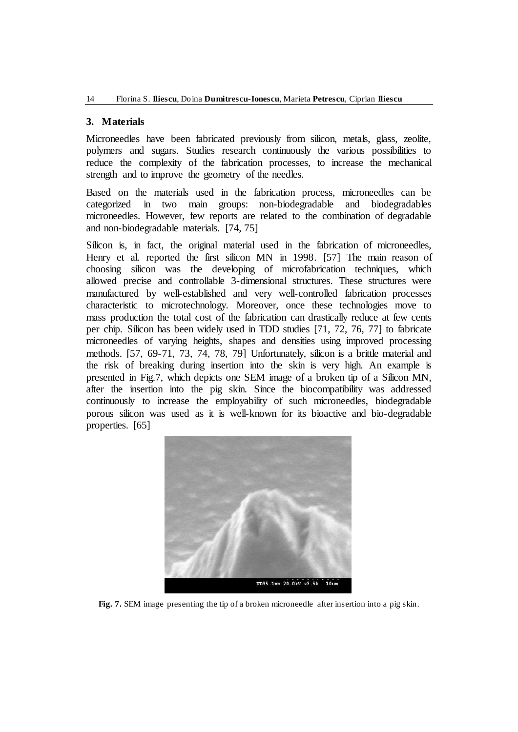#### **3. Materials**

Microneedles have been fabricated previously from silicon, metals, glass, zeolite, polymers and sugars. Studies research continuously the various possibilities to reduce the complexity of the fabrication processes, to increase the mechanical strength and to improve the geometry of the needles.

Based on the materials used in the fabrication process, microneedles can be categorized in two main groups: non-biodegradable and biodegradables microneedles. However, few reports are related to the combination of degradable and non-biodegradable materials. [74, 75]

Silicon is, in fact, the original material used in the fabrication of microneedles, Henry et al. reported the first silicon MN in 1998. [57] The main reason of choosing silicon was the developing of microfabrication techniques, which allowed precise and controllable 3-dimensional structures. These structures were manufactured by well-established and very well-controlled fabrication processes characteristic to microtechnology. Moreover, once these technologies move to mass production the total cost of the fabrication can drastically reduce at few cents per chip. Silicon has been widely used in TDD studies [71, 72, 76, 77] to fabricate microneedles of varying heights, shapes and densities using improved processing methods. [57, 69-71, 73, 74, 78, 79] Unfortunately, silicon is a brittle material and the risk of breaking during insertion into the skin is very high. An example is presented in Fig.7, which depicts one SEM image of a broken tip of a Silicon MN, after the insertion into the pig skin. Since the biocompatibility was addressed continuously to increase the employability of such microneedles, biodegradable porous silicon was used as it is well-known for its bioactive and bio-degradable properties. [65]



**Fig. 7.** SEM image presenting the tip of a broken microneedle after insertion into a pig skin.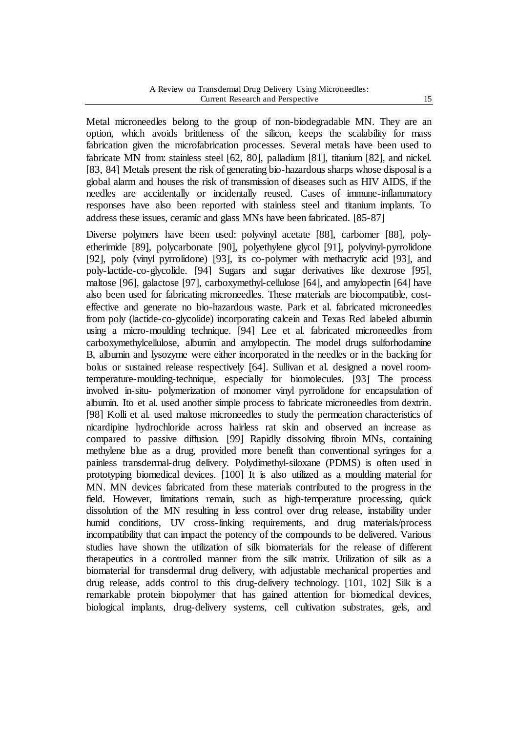Metal microneedles belong to the group of non-biodegradable MN. They are an option, which avoids brittleness of the silicon, keeps the scalability for mass fabrication given the microfabrication processes. Several metals have been used to fabricate MN from: stainless steel [62, 80], palladium [81], titanium [82], and nickel. [83, 84] Metals present the risk of generating bio-hazardous sharps whose disposal is a global alarm and houses the risk of transmission of diseases such as HIV AIDS, if the needles are accidentally or incidentally reused. Cases of immune-inflammatory responses have also been reported with stainless steel and titanium implants. To address these issues, ceramic and glass MNs have been fabricated. [85-87]

Diverse polymers have been used: polyvinyl acetate [88], carbomer [88], polyetherimide [89], polycarbonate [90], polyethylene glycol [91], polyvinyl-pyrrolidone [92], poly (vinyl pyrrolidone) [93], its co-polymer with methacrylic acid [93], and poly-lactide-co-glycolide. [94] Sugars and sugar derivatives like dextrose [95], maltose [96], galactose [97], carboxymethyl-cellulose [64], and amylopectin [64] have also been used for fabricating microneedles. These materials are biocompatible, costeffective and generate no bio-hazardous waste. Park et al. fabricated microneedles from poly (lactide-co-glycolide) incorporating calcein and Texas Red labeled albumin using a micro-moulding technique. [94] Lee et al. fabricated microneedles from carboxymethylcellulose, albumin and amylopectin. The model drugs sulforhodamine B, albumin and lysozyme were either incorporated in the needles or in the backing for bolus or sustained release respectively [64]. Sullivan et al. designed a novel roomtemperature-moulding-technique, especially for biomolecules. [93] The process involved in-situ- polymerization of monomer vinyl pyrrolidone for encapsulation of albumin. Ito et al. used another simple process to fabricate microneedles from dextrin. [98] Kolli et al. used maltose microneedles to study the permeation characteristics of nicardipine hydrochloride across hairless rat skin and observed an increase as compared to passive diffusion. [99] Rapidly dissolving fibroin MNs, containing methylene blue as a drug, provided more benefit than conventional syringes for a painless transdermal-drug delivery. Polydimethyl-siloxane (PDMS) is often used in prototyping biomedical devices. [100] It is also utilized as a moulding material for MN. MN devices fabricated from these materials contributed to the progress in the field. However, limitations remain, such as high-temperature processing, quick dissolution of the MN resulting in less control over drug release, instability under humid conditions, UV cross-linking requirements, and drug materials/process incompatibility that can impact the potency of the compounds to be delivered. Various studies have shown the utilization of silk biomaterials for the release of different therapeutics in a controlled manner from the silk matrix. Utilization of silk as a biomaterial for transdermal drug delivery, with adjustable mechanical properties and drug release, adds control to this drug-delivery technology. [101, 102] Silk is a remarkable protein biopolymer that has gained attention for biomedical devices, biological implants, drug-delivery systems, cell cultivation substrates, gels, and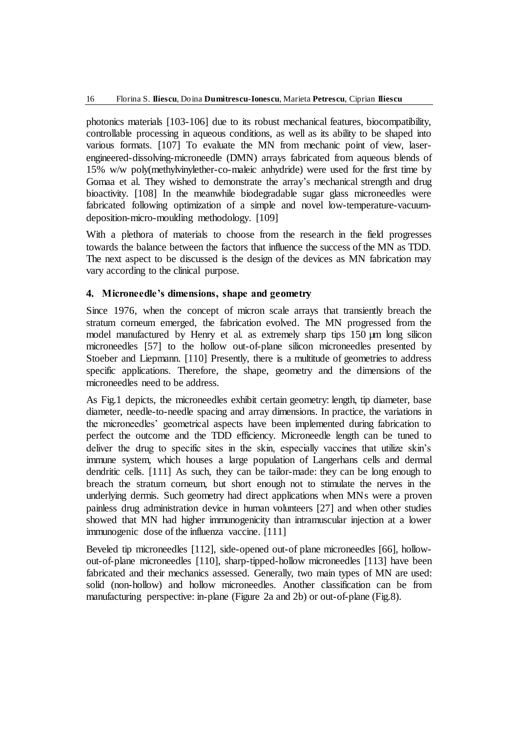photonics materials [103-106] due to its robust mechanical features, biocompatibility, controllable processing in aqueous conditions, as well as its ability to be shaped into various formats. [107] To evaluate the MN from mechanic point of view, laserengineered-dissolving-microneedle (DMN) arrays fabricated from aqueous blends of 15% w/w poly(methylvinylether-co-maleic anhydride) were used for the first time by Gomaa et al. They wished to demonstrate the array's mechanical strength and drug bioactivity. [108] In the meanwhile biodegradable sugar glass microneedles were fabricated following optimization of a simple and novel low-temperature-vacuumdeposition-micro-moulding methodology. [109]

With a plethora of materials to choose from the research in the field progresses towards the balance between the factors that influence the success of the MN as TDD. The next aspect to be discussed is the design of the devices as MN fabrication may vary according to the clinical purpose.

#### **4. Microneedle's dimensions, shape and geometry**

Since 1976, when the concept of micron scale arrays that transiently breach the stratum corneum emerged, the fabrication evolved. The MN progressed from the model manufactured by Henry et al. as extremely sharp tips 150 µm long silicon microneedles [57] to the hollow out-of-plane silicon microneedles presented by Stoeber and Liepmann. [110] Presently, there is a multitude of geometries to address specific applications. Therefore, the shape, geometry and the dimensions of the microneedles need to be address.

As Fig.1 depicts, the microneedles exhibit certain geometry: length, tip diameter, base diameter, needle-to-needle spacing and array dimensions. In practice, the variations in the microneedles' geometrical aspects have been implemented during fabrication to perfect the outcome and the TDD efficiency. Microneedle length can be tuned to deliver the drug to specific sites in the skin, especially vaccines that utilize skin's immune system, which houses a large population of Langerhans cells and dermal dendritic cells. [111] As such, they can be tailor-made: they can be long enough to breach the stratum corneum, but short enough not to stimulate the nerves in the underlying dermis. Such geometry had direct applications when MNs were a proven painless drug administration device in human volunteers [27] and when other studies showed that MN had higher immunogenicity than intramuscular injection at a lower immunogenic dose of the influenza vaccine. [111]

Beveled tip microneedles [112], side-opened out-of plane microneedles [66], hollowout-of-plane microneedles [110], sharp-tipped-hollow microneedles [113] have been fabricated and their mechanics assessed. Generally, two main types of MN are used: solid (non-hollow) and hollow microneedles. Another classification can be from manufacturing perspective: in-plane (Figure 2a and 2b) or out-of-plane (Fig.8).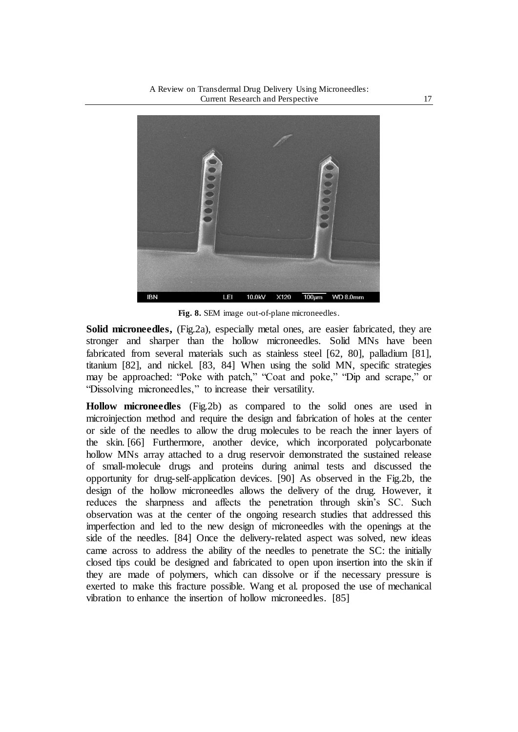

**Fig. 8.** SEM image out-of-plane microneedles.

**Solid microneedles,** (Fig.2a), especially metal ones, are easier fabricated, they are stronger and sharper than the hollow microneedles. Solid MNs have been fabricated from several materials such as stainless steel [62, 80], palladium [81], titanium [82], and nickel. [83, 84] When using the solid MN, specific strategies may be approached: "Poke with patch," "Coat and poke," "Dip and scrape," or "Dissolving microneedles," to increase their versatility.

**Hollow microneedles** (Fig.2b) as compared to the solid ones are used in microinjection method and require the design and fabrication of holes at the center or side of the needles to allow the drug molecules to be reach the inner layers of the skin. [66] Furthermore, another device, which incorporated polycarbonate hollow MNs array attached to a drug reservoir demonstrated the sustained release of small-molecule drugs and proteins during animal tests and discussed the opportunity for drug-self-application devices. [90] As observed in the Fig.2b, the design of the hollow microneedles allows the delivery of the drug. However, it reduces the sharpness and affects the penetration through skin's SC. Such observation was at the center of the ongoing research studies that addressed this imperfection and led to the new design of microneedles with the openings at the side of the needles. [84] Once the delivery-related aspect was solved, new ideas came across to address the ability of the needles to penetrate the SC: the initially closed tips could be designed and fabricated to open upon insertion into the skin if they are made of polymers, which can dissolve or if the necessary pressure is exerted to make this fracture possible. Wang et al. proposed the use of mechanical vibration to enhance the insertion of hollow microneedles. [85]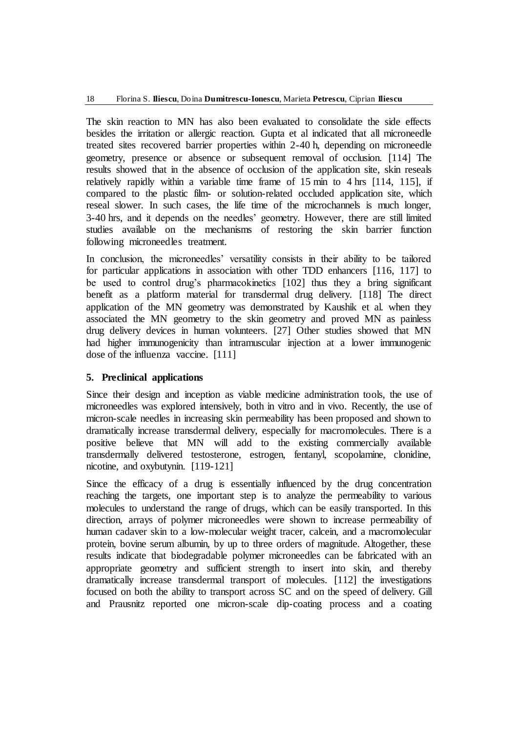The skin reaction to MN has also been evaluated to consolidate the side effects besides the irritation or allergic reaction. Gupta et al indicated that all microneedle treated sites recovered barrier properties within 2-40 h, depending on microneedle geometry, presence or absence or subsequent removal of occlusion. [114] The results showed that in the absence of occlusion of the application site, skin reseals relatively rapidly within a variable time frame of 15 min to 4 hrs [114, 115], if compared to the plastic film- or solution-related occluded application site, which reseal slower. In such cases, the life time of the microchannels is much longer, 3-40 hrs, and it depends on the needles' geometry. However, there are still limited studies available on the mechanisms of restoring the skin barrier function following microneedles treatment.

In conclusion, the microneedles' versatility consists in their ability to be tailored for particular applications in association with other TDD enhancers [116, 117] to be used to control drug's pharmacokinetics [102] thus they a bring significant benefit as a platform material for transdermal drug delivery. [118] The direct application of the MN geometry was demonstrated by Kaushik et al. when they associated the MN geometry to the skin geometry and proved MN as painless drug delivery devices in human volunteers. [27] Other studies showed that MN had higher immunogenicity than intramuscular injection at a lower immunogenic dose of the influenza vaccine. [111]

### **5. Preclinical applications**

Since their design and inception as viable medicine administration tools, the use of microneedles was explored intensively, both in vitro and in vivo. Recently, the use of micron-scale needles in increasing skin permeability has been proposed and shown to dramatically increase transdermal delivery, especially for macromolecules. There is a positive believe that MN will add to the existing commercially available transdermally delivered testosterone, estrogen, fentanyl, scopolamine, clonidine, nicotine, and oxybutynin. [119-121]

Since the efficacy of a drug is essentially influenced by the drug concentration reaching the targets, one important step is to analyze the permeability to various molecules to understand the range of drugs, which can be easily transported. In this direction, arrays of polymer microneedles were shown to increase permeability of human cadaver skin to a low-molecular weight tracer, calcein, and a macromolecular protein, bovine serum albumin, by up to three orders of magnitude. Altogether, these results indicate that biodegradable polymer microneedles can be fabricated with an appropriate geometry and sufficient strength to insert into skin, and thereby dramatically increase transdermal transport of molecules. [112] the investigations focused on both the ability to transport across SC and on the speed of delivery. Gill and Prausnitz reported one micron-scale dip-coating process and a coating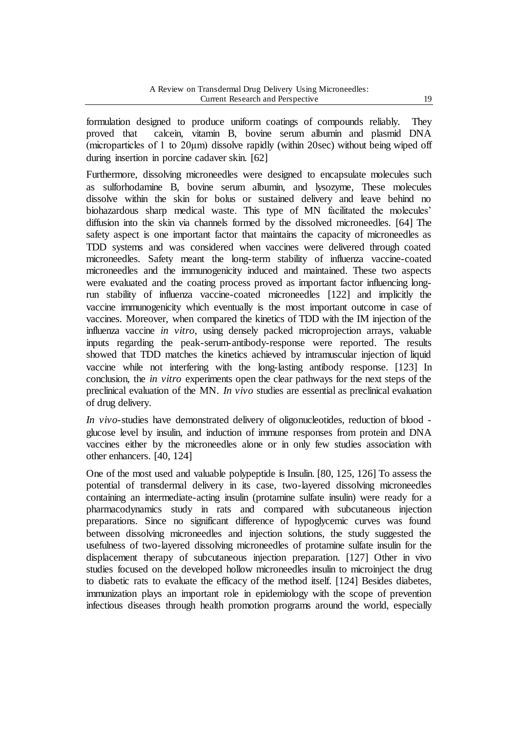formulation designed to produce uniform coatings of compounds reliably. They proved that calcein, vitamin B, bovine serum albumin and plasmid DNA (microparticles of 1 to 20μm) dissolve rapidly (within 20sec) without being wiped off during insertion in porcine cadaver skin. [62]

Furthermore, dissolving microneedles were designed to encapsulate molecules such as sulforhodamine B, bovine serum albumin, and lysozyme, These molecules dissolve within the skin for bolus or sustained delivery and leave behind no biohazardous sharp medical waste. This type of MN facilitated the molecules' diffusion into the skin via channels formed by the dissolved microneedles. [64] The safety aspect is one important factor that maintains the capacity of microneedles as TDD systems and was considered when vaccines were delivered through coated microneedles. Safety meant the long-term stability of influenza vaccine-coated microneedles and the immunogenicity induced and maintained. These two aspects were evaluated and the coating process proved as important factor influencing longrun stability of influenza vaccine-coated microneedles [122] and implicitly the vaccine immunogenicity which eventually is the most important outcome in case of vaccines. Moreover, when compared the kinetics of TDD with the IM injection of the influenza vaccine *in vitro*, using densely packed microprojection arrays, valuable inputs regarding the peak-serum-antibody-response were reported. The results showed that TDD matches the kinetics achieved by intramuscular injection of liquid vaccine while not interfering with the long-lasting antibody response. [123] In conclusion, the *in vitro* experiments open the clear pathways for the next steps of the preclinical evaluation of the MN. *In vivo* studies are essential as preclinical evaluation of drug delivery.

*In vivo*-studies have demonstrated delivery of oligonucleotides, reduction of blood glucose level by insulin, and induction of immune responses from protein and DNA vaccines either by the microneedles alone or in only few studies association with other enhancers. [40, 124]

One of the most used and valuable polypeptide is Insulin. [80, 125, 126] To assess the potential of transdermal delivery in its case, two-layered dissolving microneedles containing an intermediate-acting insulin (protamine sulfate insulin) were ready for a pharmacodynamics study in rats and compared with subcutaneous injection preparations. Since no significant difference of hypoglycemic curves was found between dissolving microneedles and injection solutions, the study suggested the usefulness of two-layered dissolving microneedles of protamine sulfate insulin for the displacement therapy of subcutaneous injection preparation. [127] Other in vivo studies focused on the developed hollow microneedles insulin to microinject the drug to diabetic rats to evaluate the efficacy of the method itself. [124] Besides diabetes, immunization plays an important role in epidemiology with the scope of prevention infectious diseases through health promotion programs around the world, especially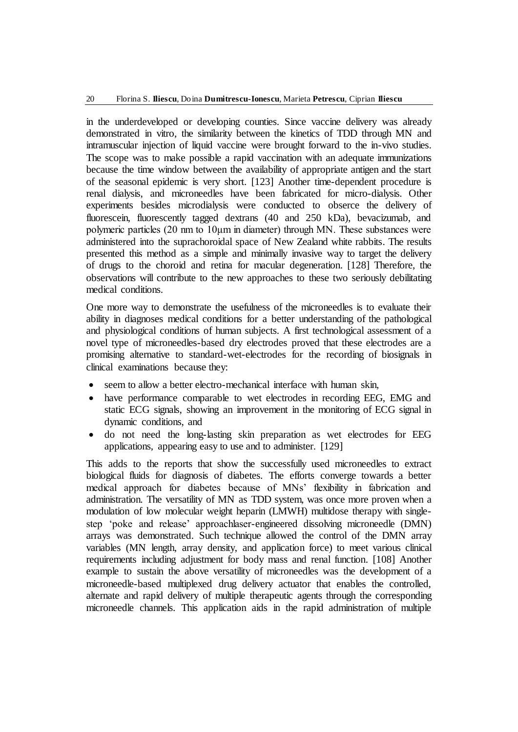in the underdeveloped or developing counties. Since vaccine delivery was already demonstrated in vitro, the similarity between the kinetics of TDD through MN and intramuscular injection of liquid vaccine were brought forward to the in-vivo studies. The scope was to make possible a rapid vaccination with an adequate immunizations because the time window between the availability of appropriate antigen and the start of the seasonal epidemic is very short. [123] Another time-dependent procedure is renal dialysis, and microneedles have been fabricated for micro-dialysis. Other experiments besides microdialysis were conducted to obserce the delivery of fluorescein, fluorescently tagged dextrans (40 and 250 kDa), bevacizumab, and polymeric particles (20 nm to 10μm in diameter) through MN. These substances were administered into the suprachoroidal space of New Zealand white rabbits. The results presented this method as a simple and minimally invasive way to target the delivery of drugs to the choroid and retina for macular degeneration. [128] Therefore, the observations will contribute to the new approaches to these two seriously debilitating medical conditions.

One more way to demonstrate the usefulness of the microneedles is to evaluate their ability in diagnoses medical conditions for a better understanding of the pathological and physiological conditions of human subjects. A first technological assessment of a novel type of microneedles-based dry electrodes proved that these electrodes are a promising alternative to standard-wet-electrodes for the recording of biosignals in clinical examinations because they:

- seem to allow a better electro-mechanical interface with human skin,
- have performance comparable to wet electrodes in recording EEG, EMG and static ECG signals, showing an improvement in the monitoring of ECG signal in dynamic conditions, and
- do not need the long-lasting skin preparation as wet electrodes for EEG applications, appearing easy to use and to administer. [129]

This adds to the reports that show the successfully used microneedles to extract biological fluids for diagnosis of diabetes. The efforts converge towards a better medical approach for diabetes because of MNs' flexibility in fabrication and administration. The versatility of MN as TDD system, was once more proven when a modulation of low molecular weight heparin (LMWH) multidose therapy with singlestep 'poke and release' approachlaser-engineered dissolving microneedle (DMN) arrays was demonstrated. Such technique allowed the control of the DMN array variables (MN length, array density, and application force) to meet various clinical requirements including adjustment for body mass and renal function. [108] Another example to sustain the above versatility of microneedles was the development of a microneedle-based multiplexed drug delivery actuator that enables the controlled, alternate and rapid delivery of multiple therapeutic agents through the corresponding microneedle channels. This application aids in the rapid administration of multiple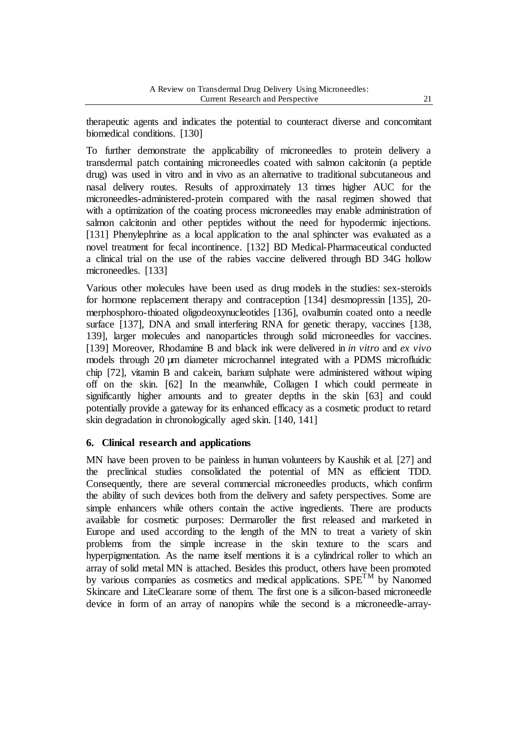therapeutic agents and indicates the potential to counteract diverse and concomitant biomedical conditions. [130]

To further demonstrate the applicability of microneedles to protein delivery a transdermal patch containing microneedles coated with salmon calcitonin (a peptide drug) was used in vitro and in vivo as an alternative to traditional subcutaneous and nasal delivery routes. Results of approximately 13 times higher AUC for the microneedles-administered-protein compared with the nasal regimen showed that with a optimization of the coating process microneedles may enable administration of salmon calcitonin and other peptides without the need for hypodermic injections. [131] Phenylephrine as a local application to the anal sphincter was evaluated as a novel treatment for fecal incontinence. [132] BD Medical-Pharmaceutical conducted a clinical trial on the use of the rabies vaccine delivered through BD 34G hollow microneedles. [133]

Various other molecules have been used as drug models in the studies: sex-steroids for hormone replacement therapy and contraception [134] desmopressin [135], 20 merphosphoro-thioated oligodeoxynucleotides [136], ovalbumin coated onto a needle surface [137], DNA and small interfering RNA for genetic therapy, vaccines [138, 139], larger molecules and nanoparticles through solid microneedles for vaccines. [139] Moreover, Rhodamine B and black ink were delivered in *in vitro* and *ex vivo* models through 20 µm diameter microchannel integrated with a PDMS microfluidic chip [72], vitamin B and calcein, barium sulphate were administered without wiping off on the skin. [62] In the meanwhile, Collagen I which could permeate in significantly higher amounts and to greater depths in the skin [63] and could potentially provide a gateway for its enhanced efficacy as a cosmetic product to retard skin degradation in chronologically aged skin. [140, 141]

### **6. Clinical research and applications**

MN have been proven to be painless in human volunteers by Kaushik et al. [27] and the preclinical studies consolidated the potential of MN as efficient TDD. Consequently, there are several commercial microneedles products, which confirm the ability of such devices both from the delivery and safety perspectives. Some are simple enhancers while others contain the active ingredients. There are products available for cosmetic purposes: Dermaroller the first released and marketed in Europe and used according to the length of the MN to treat a variety of skin problems from the simple increase in the skin texture to the scars and hyperpigmentation. As the name itself mentions it is a cylindrical roller to which an array of solid metal MN is attached. Besides this product, others have been promoted by various companies as cosmetics and medical applications.  $SPE<sup>TM</sup>$  by Nanomed Skincare and LiteClearare some of them. The first one is a silicon-based microneedle device in form of an array of nanopins while the second is a microneedle-array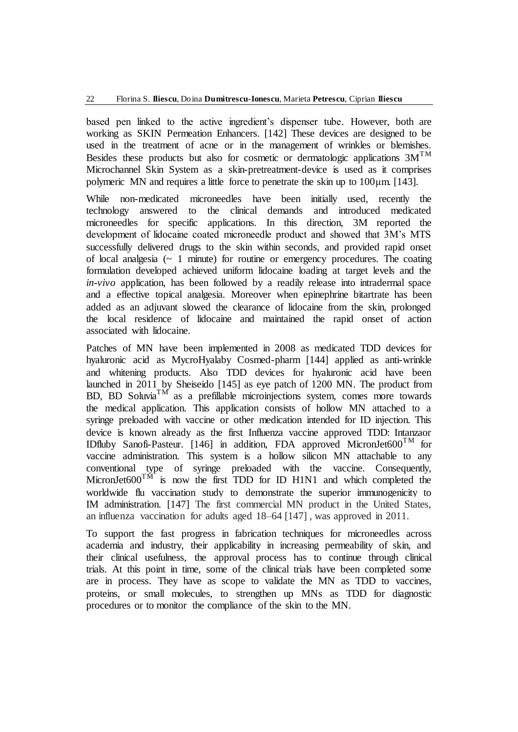based pen linked to the active ingredient's dispenser tube. However, both are working as SKIN Permeation Enhancers. [142] These devices are designed to be used in the treatment of acne or in the management of wrinkles or blemishes. Besides these products but also for cosmetic or dermatologic applications  $3M^{TM}$ Microchannel Skin System as a skin-pretreatment-device is used as it comprises polymeric MN and requires a little force to penetrate the skin up to 100μm. [143].

While non-medicated microneedles have been initially used, recently the technology answered to the clinical demands and introduced medicated microneedles for specific applications. In this direction, 3M reported the development of lidocaine coated microneedle product and showed that 3M's MTS successfully delivered drugs to the skin within seconds, and provided rapid onset of local analgesia  $(\sim 1$  minute) for routine or emergency procedures. The coating formulation developed achieved uniform lidocaine loading at target levels and the *in-vivo* application, has been followed by a readily release into intradermal space and a effective topical analgesia. Moreover when epinephrine bitartrate has been added as an adjuvant slowed the clearance of lidocaine from the skin, prolonged the local residence of lidocaine and maintained the rapid onset of action associated with lidocaine.

Patches of MN have been implemented in 2008 as medicated TDD devices for hyaluronic acid as MycroHyalaby Cosmed-pharm [144] applied as anti-wrinkle and whitening products. Also TDD devices for hyaluronic acid have been launched in 2011 by Sheiseido [145] as eye patch of 1200 MN. The product from  $BD$ ,  $BD$  Soluvia<sup>TM</sup> as a prefillable microinjections system, comes more towards the medical application. This application consists of hollow MN attached to a syringe preloaded with vaccine or other medication intended for ID injection. This device is known already as the first Influenza vaccine approved TDD: Intanzaor IDfluby Sanofi-Pasteur. [146] in addition, FDA approved MicronJet600<sup>TM</sup> for vaccine administration. This system is a hollow silicon MN attachable to any conventional type of syringe preloaded with the vaccine. Consequently, MicronJet $600^{TM}$  is now the first TDD for ID H1N1 and which completed the worldwide flu vaccination study to demonstrate the superior immunogenicity to IM administration. [147] The first commercial MN product in the United States, an influenza vaccination for adults aged 18–64 [147] , was approved in 2011.

To support the fast progress in fabrication techniques for microneedles across academia and industry, their applicability in increasing permeability of skin, and their clinical usefulness, the approval process has to continue through clinical trials. At this point in time, some of the clinical trials have been completed some are in process. They have as scope to validate the MN as TDD to vaccines, proteins, or small molecules, to strengthen up MNs as TDD for diagnostic procedures or to monitor the compliance of the skin to the MN.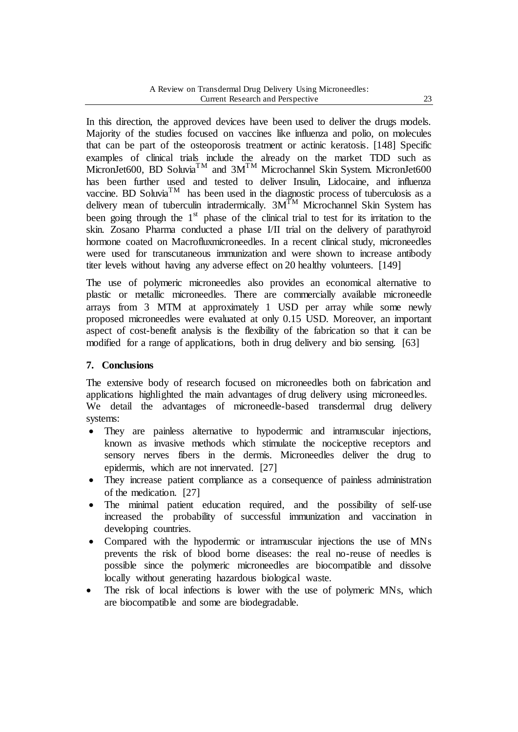In this direction, the approved devices have been used to deliver the drugs models. Majority of the studies focused on vaccines like influenza and polio, on molecules that can be part of the osteoporosis treatment or actinic keratosis. [148] Specific examples of clinical trials include the already on the market TDD such as MicronJet600, BD Soluvia<sup>TM</sup> and  $3M^{TM}$  Microchannel Skin System. MicronJet600 has been further used and tested to deliver Insulin, Lidocaine, and influenza vaccine. BD Soluvia<sup>TM</sup> has been used in the diagnostic process of tuberculosis as a delivery mean of tuberculin intradermically.  $3M^{TM}$  Microchannel Skin System has been going through the  $1<sup>st</sup>$  phase of the clinical trial to test for its irritation to the skin. Zosano Pharma conducted a phase I/II trial on the delivery of parathyroid hormone coated on Macrofluxmicroneedles. In a recent clinical study, microneedles were used for transcutaneous immunization and were shown to increase antibody titer levels without having any adverse effect on 20 healthy volunteers. [149]

The use of polymeric microneedles also provides an economical alternative to plastic or metallic microneedles. There are commercially available microneedle arrays from 3 MTM at approximately 1 USD per array while some newly proposed microneedles were evaluated at only 0.15 USD. Moreover, an important aspect of cost-benefit analysis is the flexibility of the fabrication so that it can be modified for a range of applications, both in drug delivery and bio sensing. [63]

## **7. Conclusions**

The extensive body of research focused on microneedles both on fabrication and applications highlighted the main advantages of drug delivery using microneedles. We detail the advantages of microneedle-based transdermal drug delivery systems:

- They are painless alternative to hypodermic and intramuscular injections, known as invasive methods which stimulate the nociceptive receptors and sensory nerves fibers in the dermis. Microneedles deliver the drug to epidermis, which are not innervated. [27]
- They increase patient compliance as a consequence of painless administration of the medication. [27]
- The minimal patient education required, and the possibility of self-use increased the probability of successful immunization and vaccination in developing countries.
- Compared with the hypodermic or intramuscular injections the use of MNs prevents the risk of blood borne diseases: the real no-reuse of needles is possible since the polymeric microneedles are biocompatible and dissolve locally without generating hazardous biological waste.
- The risk of local infections is lower with the use of polymeric MNs, which are biocompatible and some are biodegradable.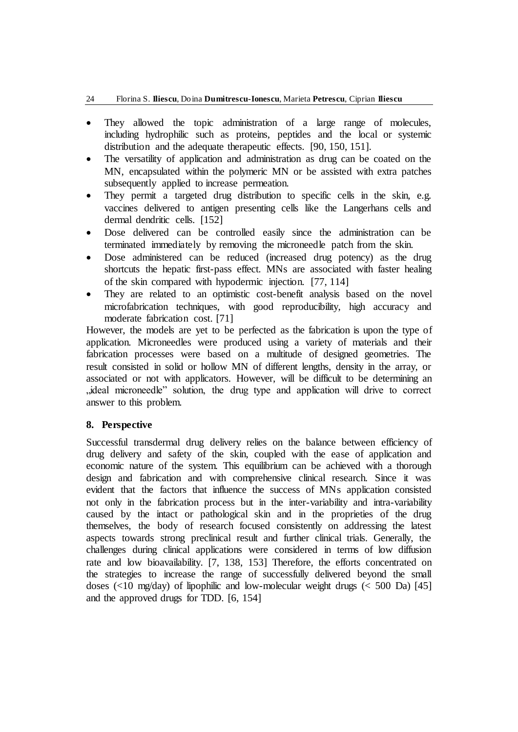- They allowed the topic administration of a large range of molecules, including hydrophilic such as proteins, peptides and the local or systemic distribution and the adequate therapeutic effects. [90, 150, 151].
- The versatility of application and administration as drug can be coated on the MN, encapsulated within the polymeric MN or be assisted with extra patches subsequently applied to increase permeation.
- They permit a targeted drug distribution to specific cells in the skin, e.g. vaccines delivered to antigen presenting cells like the Langerhans cells and dermal dendritic cells. [152]
- Dose delivered can be controlled easily since the administration can be terminated immediately by removing the microneedle patch from the skin.
- Dose administered can be reduced (increased drug potency) as the drug shortcuts the hepatic first-pass effect. MNs are associated with faster healing of the skin compared with hypodermic injection. [77, 114]
- They are related to an optimistic cost-benefit analysis based on the novel microfabrication techniques, with good reproducibility, high accuracy and moderate fabrication cost. [71]

However, the models are yet to be perfected as the fabrication is upon the type of application. Microneedles were produced using a variety of materials and their fabrication processes were based on a multitude of designed geometries. The result consisted in solid or hollow MN of different lengths, density in the array, or associated or not with applicators. However, will be difficult to be determining an "ideal microneedle" solution, the drug type and application will drive to correct answer to this problem.

### **8. Perspective**

Successful transdermal drug delivery relies on the balance between efficiency of drug delivery and safety of the skin, coupled with the ease of application and economic nature of the system. This equilibrium can be achieved with a thorough design and fabrication and with comprehensive clinical research. Since it was evident that the factors that influence the success of MNs application consisted not only in the fabrication process but in the inter-variability and intra-variability caused by the intact or pathological skin and in the proprieties of the drug themselves, the body of research focused consistently on addressing the latest aspects towards strong preclinical result and further clinical trials. Generally, the challenges during clinical applications were considered in terms of low diffusion rate and low bioavailability. [7, 138, 153] Therefore, the efforts concentrated on the strategies to increase the range of successfully delivered beyond the small doses  $\left($ <10 mg/day) of lipophilic and low-molecular weight drugs  $\left($  < 500 Da) [45] and the approved drugs for TDD. [6, 154]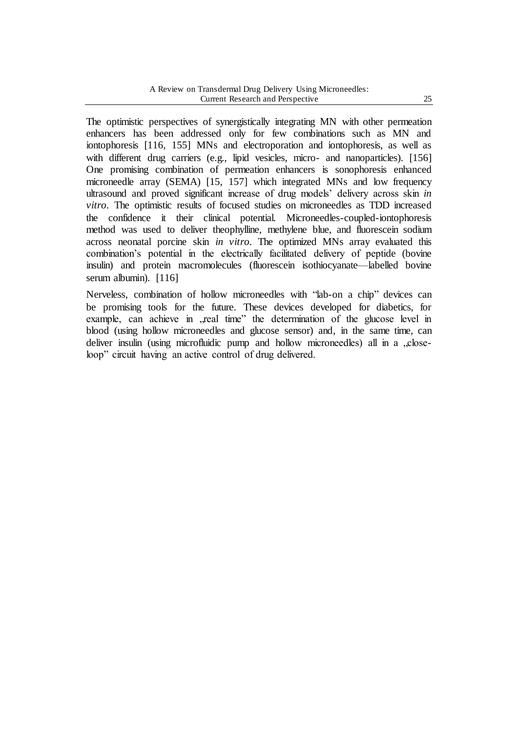The optimistic perspectives of synergistically integrating MN with other permeation enhancers has been addressed only for few combinations such as MN and iontophoresis [116, 155] MNs and electroporation and iontophoresis, as well as with different drug carriers (e.g., lipid vesicles, micro- and nanoparticles). [156] One promising combination of permeation enhancers is sonophoresis enhanced microneedle array (SEMA) [15, 157] which integrated MNs and low frequency ultrasound and proved significant increase of drug models' delivery across skin *in vitro*. The optimistic results of focused studies on microneedles as TDD increased the confidence it their clinical potential. Microneedles-coupled-iontophoresis method was used to deliver theophylline, methylene blue, and fluorescein sodium across neonatal porcine skin *in vitro*. The optimized MNs array evaluated this combination's potential in the electrically facilitated delivery of peptide (bovine insulin) and protein macromolecules (fluorescein isothiocyanate—labelled bovine serum albumin). [116]

Nerveless, combination of hollow microneedles with "lab-on a chip" devices can be promising tools for the future. These devices developed for diabetics, for example, can achieve in , real time" the determination of the glucose level in blood (using hollow microneedles and glucose sensor) and, in the same time, can deliver insulin (using microfluidic pump and hollow microneedles) all in a "closeloop" circuit having an active control of drug delivered.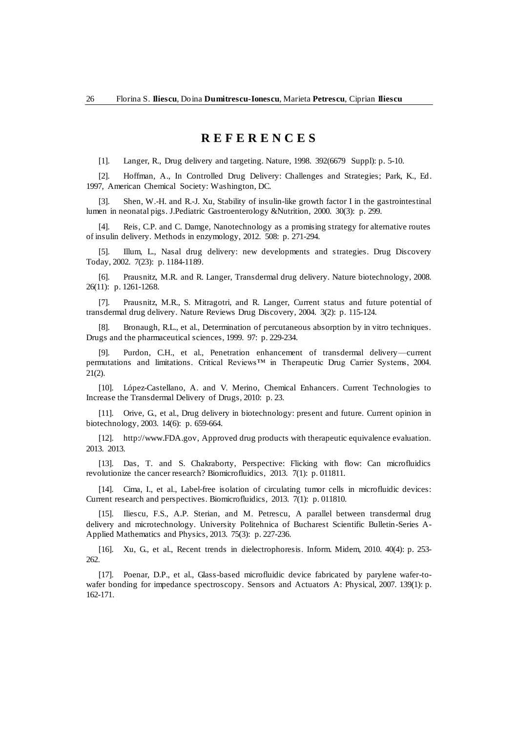### **R E F E R E N C E S**

[1]. Langer, R., Drug delivery and targeting. Nature, 1998. 392(6679 Suppl): p. 5-10.

[2]. Hoffman, A., In Controlled Drug Delivery: Challenges and Strategies; Park, K., Ed. 1997, American Chemical Society: Washington, DC.

[3]. Shen, W.-H. and R.-J. Xu, Stability of insulin-like growth factor I in the gastrointestinal lumen in neonatal pigs. J.Pediatric Gastroenterology &Nutrition, 2000. 30(3): p. 299.

[4]. Reis, C.P. and C. Damge, Nanotechnology as a promising strategy for alternative routes of insulin delivery. Methods in enzymology, 2012. 508: p. 271-294.

[5]. Illum, L., Nasal drug delivery: new developments and strategies. Drug Discovery Today, 2002. 7(23): p. 1184-1189.

[6]. Prausnitz, M.R. and R. Langer, Transdermal drug delivery. Nature biotechnology, 2008. 26(11): p. 1261-1268.

[7]. Prausnitz, M.R., S. Mitragotri, and R. Langer, Current status and future potential of transdermal drug delivery. Nature Reviews Drug Discovery, 2004. 3(2): p. 115-124.

[8]. Bronaugh, R.L., et al., Determination of percutaneous absorption by in vitro techniques. Drugs and the pharmaceutical sciences, 1999. 97: p. 229-234.

[9]. Purdon, C.H., et al., Penetration enhancement of transdermal delivery—current permutations and limitations. Critical Reviews™ in Therapeutic Drug Carrier Systems, 2004. 21(2).

[10]. López-Castellano, A. and V. Merino, Chemical Enhancers. Current Technologies to Increase the Transdermal Delivery of Drugs, 2010: p. 23.

[11]. Orive, G., et al., Drug delivery in biotechnology: present and future. Current opinion in biotechnology, 2003. 14(6): p. 659-664.

[12]. [http://www.FDA.gov,](http://www.fda.gov/) Approved drug products with therapeutic equivalence evaluation. 2013. 2013.

[13]. Das, T. and S. Chakraborty, Perspective: Flicking with flow: Can microfluidics revolutionize the cancer research? Biomicrofluidics, 2013. 7(1): p. 011811.

[14]. Cima, I., et al., Label-free isolation of circulating tumor cells in microfluidic devices: Current research and perspectives. Biomicrofluidics, 2013. 7(1): p. 011810.

[15]. Iliescu, F.S., A.P. Sterian, and M. Petrescu, A parallel between transdermal drug delivery and microtechnology. University Politehnica of Bucharest Scientific Bulletin-Series A-Applied Mathematics and Physics, 2013. 75(3): p. 227-236.

[16]. Xu, G., et al., Recent trends in dielectrophoresis. Inform. Midem, 2010. 40(4): p. 253- 262.

[17]. Poenar, D.P., et al., Glass-based microfluidic device fabricated by parylene wafer-towafer bonding for impedance spectroscopy. Sensors and Actuators A: Physical, 2007. 139(1): p. 162-171.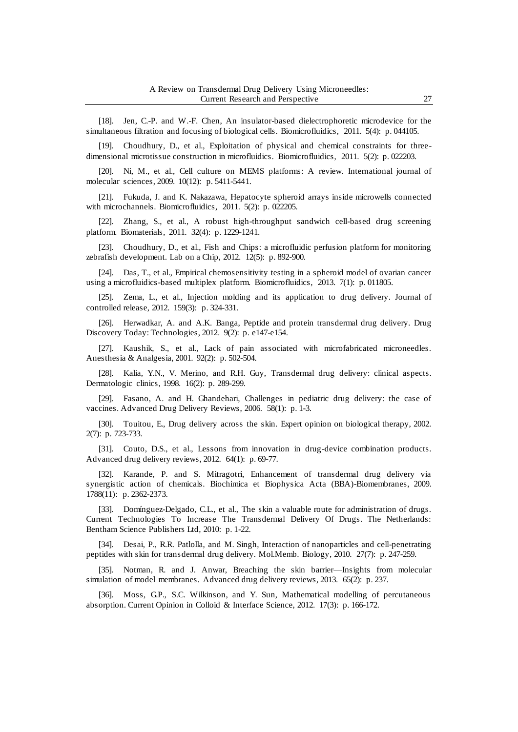[18]. Jen, C.-P. and W.-F. Chen, An insulator-based dielectrophoretic microdevice for the simultaneous filtration and focusing of biological cells. Biomicrofluidics, 2011. 5(4): p. 044105.

[19]. Choudhury, D., et al., Exploitation of physical and chemical constraints for threedimensional microtissue construction in microfluidics. Biomicrofluidics, 2011. 5(2): p. 022203.

[20]. Ni, M., et al., Cell culture on MEMS platforms: A review. International journal of molecular sciences, 2009. 10(12): p. 5411-5441.

[21]. Fukuda, J. and K. Nakazawa, Hepatocyte spheroid arrays inside microwells connected with microchannels. Biomicrofluidics, 2011. 5(2): p. 022205.

[22]. Zhang, S., et al., A robust high-throughput sandwich cell-based drug screening platform. Biomaterials, 2011. 32(4): p. 1229-1241.

[23]. Choudhury, D., et al., Fish and Chips: a microfluidic perfusion platform for monitoring zebrafish development. Lab on a Chip, 2012. 12(5): p. 892-900.

[24]. Das, T., et al., Empirical chemosensitivity testing in a spheroid model of ovarian cancer using a microfluidics-based multiplex platform. Biomicrofluidics, 2013. 7(1): p. 011805.

[25]. Zema, L., et al., Injection molding and its application to drug delivery. Journal of controlled release, 2012. 159(3): p. 324-331.

[26]. Herwadkar, A. and A.K. Banga, Peptide and protein transdermal drug delivery. Drug Discovery Today: Technologies, 2012. 9(2): p. e147-e154.

[27]. Kaushik, S., et al., Lack of pain associated with microfabricated microneedles. Anesthesia & Analgesia, 2001. 92(2): p. 502-504.

[28]. Kalia, Y.N., V. Merino, and R.H. Guy, Transdermal drug delivery: clinical aspects. Dermatologic clinics, 1998. 16(2): p. 289-299.

[29]. Fasano, A. and H. Ghandehari, Challenges in pediatric drug delivery: the case of vaccines. Advanced Drug Delivery Reviews, 2006. 58(1): p. 1-3.

[30]. Touitou, E., Drug delivery across the skin. Expert opinion on biological therapy, 2002. 2(7): p. 723-733.

[31]. Couto, D.S., et al., Lessons from innovation in drug-device combination products. Advanced drug delivery reviews, 2012. 64(1): p. 69-77.

[32]. Karande, P. and S. Mitragotri, Enhancement of transdermal drug delivery via synergistic action of chemicals. Biochimica et Biophysica Acta (BBA)-Biomembranes, 2009. 1788(11): p. 2362-2373.

[33]. Domínguez-Delgado, C.L., et al., The skin a valuable route for administration of drugs. Current Technologies To Increase The Transdermal Delivery Of Drugs. The Netherlands: Bentham Science Publishers Ltd, 2010: p. 1-22.

[34]. Desai, P., R.R. Patlolla, and M. Singh, Interaction of nanoparticles and cell-penetrating peptides with skin for transdermal drug delivery. Mol.Memb. Biology, 2010. 27(7): p. 247-259.

[35]. Notman, R. and J. Anwar, Breaching the skin barrier—Insights from molecular simulation of model membranes. Advanced drug delivery reviews, 2013. 65(2): p. 237.

[36]. Moss, G.P., S.C. Wilkinson, and Y. Sun, Mathematical modelling of percutaneous absorption. Current Opinion in Colloid & Interface Science, 2012. 17(3): p. 166-172.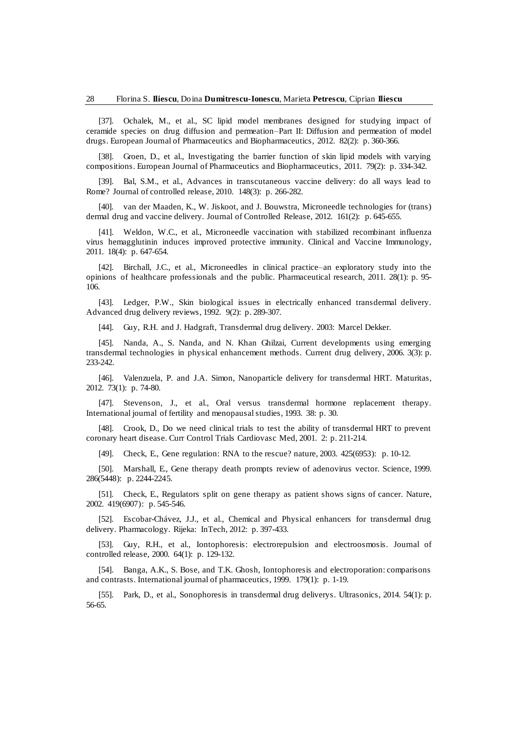[37]. Ochalek, M., et al., SC lipid model membranes designed for studying impact of ceramide species on drug diffusion and permeation–Part II: Diffusion and permeation of model drugs. European Journal of Pharmaceutics and Biopharmaceutics, 2012. 82(2): p. 360-366.

[38]. Groen, D., et al., Investigating the barrier function of skin lipid models with varying compositions. European Journal of Pharmaceutics and Biopharmaceutics, 2011. 79(2): p. 334-342.

[39]. Bal, S.M., et al., Advances in transcutaneous vaccine delivery: do all ways lead to Rome? Journal of controlled release, 2010. 148(3): p. 266-282.

[40]. van der Maaden, K., W. Jiskoot, and J. Bouwstra, Microneedle technologies for (trans) dermal drug and vaccine delivery. Journal of Controlled Release, 2012. 161(2): p. 645-655.

[41]. Weldon, W.C., et al., Microneedle vaccination with stabilized recombinant influenza virus hemagglutinin induces improved protective immunity. Clinical and Vaccine Immunology, 2011. 18(4): p. 647-654.

[42]. Birchall, J.C., et al., Microneedles in clinical practice–an exploratory study into the opinions of healthcare professionals and the public. Pharmaceutical research, 2011. 28(1): p. 95- 106.

[43]. Ledger, P.W., Skin biological issues in electrically enhanced transdermal delivery. Advanced drug delivery reviews, 1992. 9(2): p. 289-307.

[44]. Guy, R.H. and J. Hadgraft, Transdermal drug delivery. 2003: Marcel Dekker.

[45]. Nanda, A., S. Nanda, and N. Khan Ghilzai, Current developments using emerging transdermal technologies in physical enhancement methods. Current drug delivery, 2006. 3(3): p. 233-242.

[46]. Valenzuela, P. and J.A. Simon, Nanoparticle delivery for transdermal HRT. Maturitas, 2012. 73(1): p. 74-80.

[47]. Stevenson, J., et al., Oral versus transdermal hormone replacement therapy. International journal of fertility and menopausal studies, 1993. 38: p. 30.

[48]. Crook, D., Do we need clinical trials to test the ability of transdermal HRT to prevent coronary heart disease. Curr Control Trials Cardiovasc Med, 2001. 2: p. 211-214.

[49]. Check, E., Gene regulation: RNA to the rescue? nature, 2003. 425(6953): p. 10-12.

[50]. Marshall, E., Gene therapy death prompts review of adenovirus vector. Science, 1999. 286(5448): p. 2244-2245.

[51]. Check, E., Regulators split on gene therapy as patient shows signs of cancer. Nature, 2002. 419(6907): p. 545-546.

[52]. Escobar-Chávez, J.J., et al., Chemical and Physical enhancers for transdermal drug delivery. Pharmacology. Rijeka: InTech, 2012: p. 397-433.

[53]. Guy, R.H., et al., Iontophoresis: electrorepulsion and electroosmosis. Journal of controlled release, 2000. 64(1): p. 129-132.

[54]. Banga, A.K., S. Bose, and T.K. Ghosh, Iontophoresis and electroporation: comparisons and contrasts. International journal of pharmaceutics, 1999. 179(1): p. 1-19.

[55]. Park, D., et al., Sonophoresis in transdermal drug deliverys. Ultrasonics, 2014. 54(1): p. 56-65.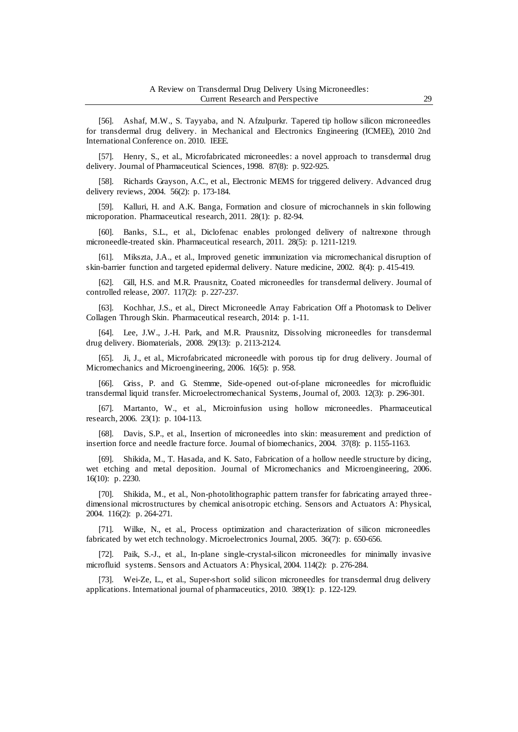[56]. Ashaf, M.W., S. Tayyaba, and N. Afzulpurkr. Tapered tip hollow silicon microneedles for transdermal drug delivery. in Mechanical and Electronics Engineering (ICMEE), 2010 2nd International Conference on. 2010. IEEE.

[57]. Henry, S., et al., Microfabricated microneedles: a novel approach to transdermal drug delivery. Journal of Pharmaceutical Sciences, 1998. 87(8): p. 922-925.

[58]. Richards Grayson, A.C., et al., Electronic MEMS for triggered delivery. Advanced drug delivery reviews, 2004. 56(2): p. 173-184.

[59]. Kalluri, H. and A.K. Banga, Formation and closure of microchannels in skin following microporation. Pharmaceutical research, 2011. 28(1): p. 82-94.

[60]. Banks, S.L., et al., Diclofenac enables prolonged delivery of naltrexone through microneedle-treated skin. Pharmaceutical research, 2011. 28(5): p. 1211-1219.

[61]. Mikszta, J.A., et al., Improved genetic immunization via micromechanical disruption of skin-barrier function and targeted epidermal delivery. Nature medicine, 2002. 8(4): p. 415-419.

[62]. Gill, H.S. and M.R. Prausnitz, Coated microneedles for transdermal delivery. Journal of controlled release, 2007. 117(2): p. 227-237.

[63]. Kochhar, J.S., et al., Direct Microneedle Array Fabrication Off a Photomask to Deliver Collagen Through Skin. Pharmaceutical research, 2014: p. 1-11.

[64]. Lee, J.W., J.-H. Park, and M.R. Prausnitz, Dissolving microneedles for transdermal drug delivery. Biomaterials, 2008. 29(13): p. 2113-2124.

[65]. Ji, J., et al., Microfabricated microneedle with porous tip for drug delivery. Journal of Micromechanics and Microengineering, 2006. 16(5): p. 958.

[66]. Griss, P. and G. Stemme, Side-opened out-of-plane microneedles for microfluidic transdermal liquid transfer. Microelectromechanical Systems, Journal of, 2003. 12(3): p. 296-301.

[67]. Martanto, W., et al., Microinfusion using hollow microneedles. Pharmaceutical research, 2006. 23(1): p. 104-113.

[68]. Davis, S.P., et al., Insertion of microneedles into skin: measurement and prediction of insertion force and needle fracture force. Journal of biomechanics, 2004. 37(8): p. 1155-1163.

[69]. Shikida, M., T. Hasada, and K. Sato, Fabrication of a hollow needle structure by dicing, wet etching and metal deposition. Journal of Micromechanics and Microengineering, 2006. 16(10): p. 2230.

[70]. Shikida, M., et al., Non-photolithographic pattern transfer for fabricating arrayed threedimensional microstructures by chemical anisotropic etching. Sensors and Actuators A: Physical, 2004. 116(2): p. 264-271.

[71]. Wilke, N., et al., Process optimization and characterization of silicon microneedles fabricated by wet etch technology. Microelectronics Journal, 2005. 36(7): p. 650-656.

[72]. Paik, S.-J., et al., In-plane single-crystal-silicon microneedles for minimally invasive microfluid systems. Sensors and Actuators A: Physical, 2004. 114(2): p. 276-284.

[73]. Wei-Ze, L., et al., Super-short solid silicon microneedles for transdermal drug delivery applications. International journal of pharmaceutics, 2010. 389(1): p. 122-129.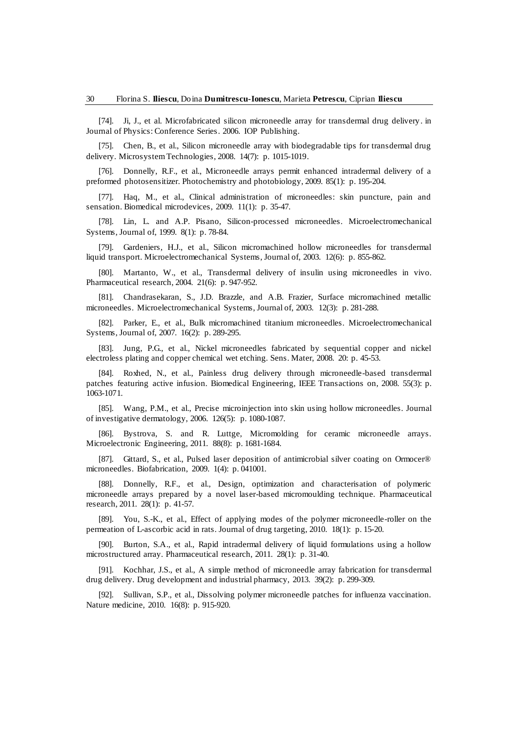[74]. Ji, J., et al. Microfabricated silicon microneedle array for transdermal drug delivery. in Journal of Physics: Conference Series. 2006. IOP Publishing.

[75]. Chen, B., et al., Silicon microneedle array with biodegradable tips for transdermal drug delivery. Microsystem Technologies, 2008. 14(7): p. 1015-1019.

[76]. Donnelly, R.F., et al., Microneedle arrays permit enhanced intradermal delivery of a preformed photosensitizer. Photochemistry and photobiology, 2009. 85(1): p. 195-204.

[77]. Haq, M., et al., Clinical administration of microneedles: skin puncture, pain and sensation. Biomedical microdevices, 2009. 11(1): p. 35-47.

[78]. Lin, L. and A.P. Pisano, Silicon-processed microneedles. Microelectromechanical Systems, Journal of, 1999. 8(1): p. 78-84.

[79]. Gardeniers, H.J., et al., Silicon micromachined hollow microneedles for transdermal liquid transport. Microelectromechanical Systems, Journal of, 2003. 12(6): p. 855-862.

[80]. Martanto, W., et al., Transdermal delivery of insulin using microneedles in vivo. Pharmaceutical research, 2004. 21(6): p. 947-952.

[81]. Chandrasekaran, S., J.D. Brazzle, and A.B. Frazier, Surface micromachined metallic microneedles. Microelectromechanical Systems, Journal of, 2003. 12(3): p. 281-288.

[82]. Parker, E., et al., Bulk micromachined titanium microneedles. Microelectromechanical Systems, Journal of, 2007. 16(2): p. 289-295.

[83]. Jung, P.G., et al., Nickel microneedles fabricated by sequential copper and nickel electroless plating and copper chemical wet etching. Sens. Mater, 2008. 20: p. 45-53.

[84]. Roxhed, N., et al., Painless drug delivery through microneedle-based transdermal patches featuring active infusion. Biomedical Engineering, IEEE Transactions on, 2008. 55(3): p. 1063-1071.

[85]. Wang, P.M., et al., Precise microinjection into skin using hollow microneedles. Journal of investigative dermatology, 2006. 126(5): p. 1080-1087.

[86]. Bystrova, S. and R. Luttge, Micromolding for ceramic microneedle arrays. Microelectronic Engineering, 2011. 88(8): p. 1681-1684.

[87]. Gittard, S., et al., Pulsed laser deposition of antimicrobial silver coating on Ormocer® microneedles. Biofabrication, 2009. 1(4): p. 041001.

[88]. Donnelly, R.F., et al., Design, optimization and characterisation of polymeric microneedle arrays prepared by a novel laser-based micromoulding technique. Pharmaceutical research, 2011. 28(1): p. 41-57.

[89]. You, S.-K., et al., Effect of applying modes of the polymer microneedle-roller on the permeation of L-ascorbic acid in rats. Journal of drug targeting, 2010. 18(1): p. 15-20.

[90]. Burton, S.A., et al., Rapid intradermal delivery of liquid formulations using a hollow microstructured array. Pharmaceutical research, 2011. 28(1): p. 31-40.

Kochhar, J.S., et al., A simple method of microneedle array fabrication for transdermal drug delivery. Drug development and industrial pharmacy, 2013. 39(2): p. 299-309.

[92]. Sullivan, S.P., et al., Dissolving polymer microneedle patches for influenza vaccination. Nature medicine, 2010. 16(8): p. 915-920.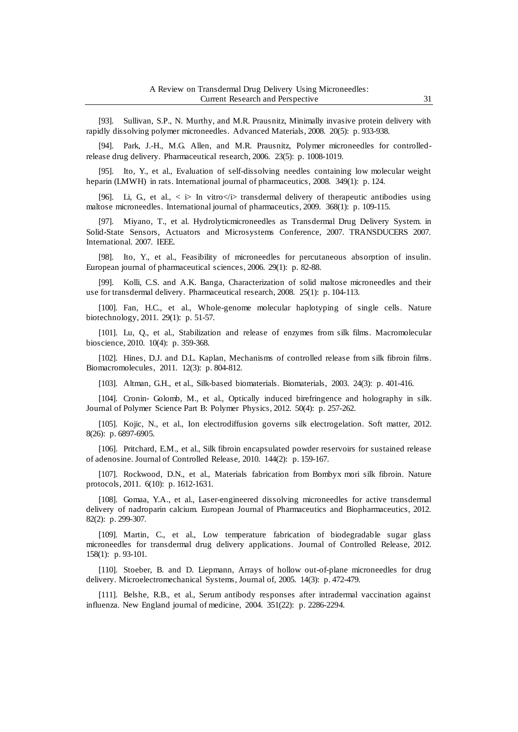[93]. Sullivan, S.P., N. Murthy, and M.R. Prausnitz, Minimally invasive protein delivery with rapidly dissolving polymer microneedles. Advanced Materials, 2008. 20(5): p. 933-938.

[94]. Park, J.-H., M.G. Allen, and M.R. Prausnitz, Polymer microneedles for controlledrelease drug delivery. Pharmaceutical research, 2006. 23(5): p. 1008-1019.

[95]. Ito, Y., et al., Evaluation of self-dissolving needles containing low molecular weight heparin (LMWH) in rats. International journal of pharmaceutics, 2008. 349(1): p. 124.

[96]. Li, G., et al.,  $\langle \rangle$  in vitro $\langle \rangle$  transdermal delivery of the rapeutic antibodies using maltose microneedles. International journal of pharmaceutics, 2009. 368(1): p. 109-115.

[97]. Miyano, T., et al. Hydrolyticmicroneedles as Transdermal Drug Delivery System. in Solid-State Sensors, Actuators and Microsystems Conference, 2007. TRANSDUCERS 2007. International. 2007. IEEE.

[98]. Ito, Y., et al., Feasibility of microneedles for percutaneous absorption of insulin. European journal of pharmaceutical sciences, 2006. 29(1): p. 82-88.

[99]. Kolli, C.S. and A.K. Banga, Characterization of solid maltose microneedles and their use for transdermal delivery. Pharmaceutical research, 2008. 25(1): p. 104-113.

[100]. Fan, H.C., et al., Whole-genome molecular haplotyping of single cells. Nature biotechnology, 2011. 29(1): p. 51-57.

[101]. Lu, Q., et al., Stabilization and release of enzymes from silk films. Macromolecular bioscience, 2010. 10(4): p. 359-368.

[102]. Hines, D.J. and D.L. Kaplan, Mechanisms of controlled release from silk fibroin films. Biomacromolecules, 2011. 12(3): p. 804-812.

[103]. Altman, G.H., et al., Silk-based biomaterials. Biomaterials, 2003. 24(3): p. 401-416.

[104]. Cronin‐ Golomb, M., et al., Optically induced birefringence and holography in silk. Journal of Polymer Science Part B: Polymer Physics, 2012. 50(4): p. 257-262.

[105]. Kojic, N., et al., Ion electrodiffusion governs silk electrogelation. Soft matter, 2012. 8(26): p. 6897-6905.

[106]. Pritchard, E.M., et al., Silk fibroin encapsulated powder reservoirs for sustained release of adenosine. Journal of Controlled Release, 2010. 144(2): p. 159-167.

[107]. Rockwood, D.N., et al., Materials fabrication from Bombyx mori silk fibroin. Nature protocols, 2011. 6(10): p. 1612-1631.

[108]. Gomaa, Y.A., et al., Laser-engineered dissolving microneedles for active transdermal delivery of nadroparin calcium. European Journal of Pharmaceutics and Biopharmaceutics, 2012. 82(2): p. 299-307.

[109]. Martin, C., et al., Low temperature fabrication of biodegradable sugar glass microneedles for transdermal drug delivery applications. Journal of Controlled Release, 2012. 158(1): p. 93-101.

[110]. Stoeber, B. and D. Liepmann, Arrays of hollow out-of-plane microneedles for drug delivery. Microelectromechanical Systems, Journal of, 2005. 14(3): p. 472-479.

[111]. Belshe, R.B., et al., Serum antibody responses after intradermal vaccination against influenza. New England journal of medicine, 2004. 351(22): p. 2286-2294.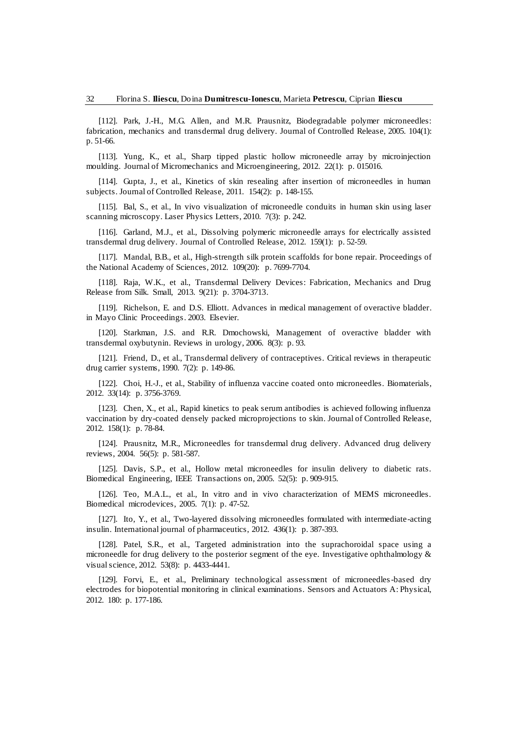[112]. Park, J.-H., M.G. Allen, and M.R. Prausnitz, Biodegradable polymer microneedles: fabrication, mechanics and transdermal drug delivery. Journal of Controlled Release, 2005. 104(1): p. 51-66.

[113]. Yung, K., et al., Sharp tipped plastic hollow microneedle array by microinjection moulding. Journal of Micromechanics and Microengineering, 2012. 22(1): p. 015016.

[114]. Gupta, J., et al., Kinetics of skin resealing after insertion of microneedles in human subjects. Journal of Controlled Release, 2011. 154(2): p. 148-155.

[115]. Bal, S., et al., In vivo visualization of microneedle conduits in human skin using laser scanning microscopy. Laser Physics Letters, 2010. 7(3): p. 242.

[116]. Garland, M.J., et al., Dissolving polymeric microneedle arrays for electrically assisted transdermal drug delivery. Journal of Controlled Release, 2012. 159(1): p. 52-59.

[117]. Mandal, B.B., et al., High-strength silk protein scaffolds for bone repair. Proceedings of the National Academy of Sciences, 2012. 109(20): p. 7699-7704.

[118]. Raja, W.K., et al., Transdermal Delivery Devices: Fabrication, Mechanics and Drug Release from Silk. Small, 2013. 9(21): p. 3704-3713.

[119]. Richelson, E. and D.S. Elliott. Advances in medical management of overactive bladder. in Mayo Clinic Proceedings. 2003. Elsevier.

[120]. Starkman, J.S. and R.R. Dmochowski, Management of overactive bladder with transdermal oxybutynin. Reviews in urology, 2006. 8(3): p. 93.

[121]. Friend, D., et al., Transdermal delivery of contraceptives. Critical reviews in therapeutic drug carrier systems, 1990. 7(2): p. 149-86.

[122]. Choi, H.-J., et al., Stability of influenza vaccine coated onto microneedles. Biomaterials, 2012. 33(14): p. 3756-3769.

[123]. Chen, X., et al., Rapid kinetics to peak serum antibodies is achieved following influenza vaccination by dry-coated densely packed microprojections to skin. Journal of Controlled Release, 2012. 158(1): p. 78-84.

[124]. Prausnitz, M.R., Microneedles for transdermal drug delivery. Advanced drug delivery reviews, 2004. 56(5): p. 581-587.

[125]. Davis, S.P., et al., Hollow metal microneedles for insulin delivery to diabetic rats. Biomedical Engineering, IEEE Transactions on, 2005. 52(5): p. 909-915.

[126]. Teo, M.A.L., et al., In vitro and in vivo characterization of MEMS microneedles. Biomedical microdevices, 2005. 7(1): p. 47-52.

[127]. Ito, Y., et al., Two-layered dissolving microneedles formulated with intermediate-acting insulin. International journal of pharmaceutics, 2012. 436(1): p. 387-393.

[128]. Patel, S.R., et al., Targeted administration into the suprachoroidal space using a microneedle for drug delivery to the posterior segment of the eye. Investigative ophthalmology & visual science, 2012. 53(8): p. 4433-4441.

[129]. Forvi, E., et al., Preliminary technological assessment of microneedles-based dry electrodes for biopotential monitoring in clinical examinations. Sensors and Actuators A: Physical, 2012. 180: p. 177-186.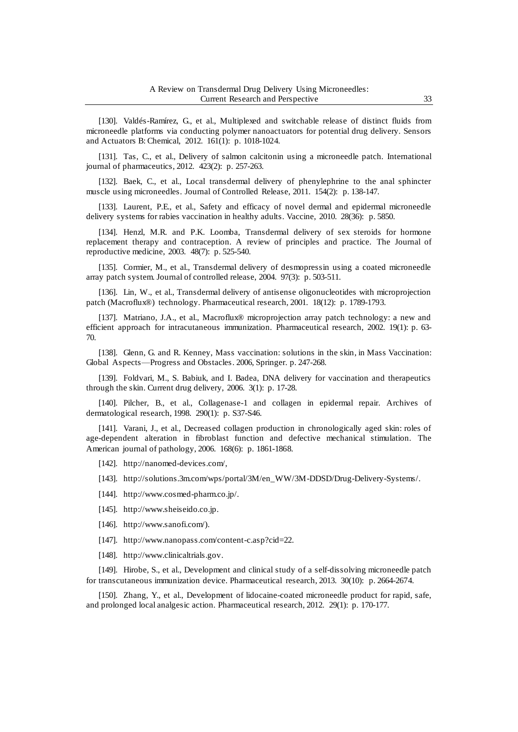[130]. Valdés-Ramírez, G., et al., Multiplexed and switchable release of distinct fluids from microneedle platforms via conducting polymer nanoactuators for potential drug delivery. Sensors and Actuators B: Chemical, 2012. 161(1): p. 1018-1024.

[131]. Tas, C., et al., Delivery of salmon calcitonin using a microneedle patch. International journal of pharmaceutics, 2012. 423(2): p. 257-263.

[132]. Baek, C., et al., Local transdermal delivery of phenylephrine to the anal sphincter muscle using microneedles. Journal of Controlled Release, 2011. 154(2): p. 138-147.

[133]. Laurent, P.E., et al., Safety and efficacy of novel dermal and epidermal microneedle delivery systems for rabies vaccination in healthy adults. Vaccine, 2010. 28(36): p. 5850.

[134]. Henzl, M.R. and P.K. Loomba, Transdermal delivery of sex steroids for hormone replacement therapy and contraception. A review of principles and practice. The Journal of reproductive medicine, 2003. 48(7): p. 525-540.

[135]. Cormier, M., et al., Transdermal delivery of desmopressin using a coated microneedle array patch system. Journal of controlled release, 2004. 97(3): p. 503-511.

[136]. Lin, W., et al., Transdermal delivery of antisense oligonucleotides with microprojection patch (Macroflux®) technology. Pharmaceutical research, 2001. 18(12): p. 1789-1793.

[137]. Matriano, J.A., et al., Macroflux® microprojection array patch technology: a new and efficient approach for intracutaneous immunization. Pharmaceutical research, 2002. 19(1): p. 63- 70.

[138]. Glenn, G. and R. Kenney, Mass vaccination: solutions in the skin, in Mass Vaccination: Global Aspects—Progress and Obstacles. 2006, Springer. p. 247-268.

[139]. Foldvari, M., S. Babiuk, and I. Badea, DNA delivery for vaccination and therapeutics through the skin. Current drug delivery, 2006. 3(1): p. 17-28.

[140]. Pilcher, B., et al., Collagenase-1 and collagen in epidermal repair. Archives of dermatological research, 1998. 290(1): p. S37-S46.

[141]. Varani, J., et al., Decreased collagen production in chronologically aged skin: roles of age-dependent alteration in fibroblast function and defective mechanical stimulation. The American journal of pathology, 2006. 168(6): p. 1861-1868.

[142]. [http://nanomed-devices.com/,](http://nanomed-devices.com/)

[143]. [http://solutions.3m.com/wps/portal/3M/en\\_WW/3M-DDSD/Drug-Delivery-Systems/.](http://solutions.3m.com/wps/portal/3M/en_WW/3M-DDSD/Drug-Delivery-Systems/)

[144]. [http://www.cosmed-pharm.co.jp/.](http://www.cosmed-pharm.co.jp/)

[145]. [http://www.sheiseido.co.jp.](http://www.sheiseido.co.jp/)

[146]. [http://www.sanofi.com/\).](http://www.sanofi.com/))

[147]. [http://www.nanopass.com/content-c.asp?cid=22.](http://www.nanopass.com/content-c.asp?cid=22)

[148]. [http://www.clinicaltrials.gov.](http://www.clinicaltrials.gov/)

[149]. Hirobe, S., et al., Development and clinical study of a self-dissolving microneedle patch for transcutaneous immunization device. Pharmaceutical research, 2013. 30(10): p. 2664-2674.

[150]. Zhang, Y., et al., Development of lidocaine-coated microneedle product for rapid, safe, and prolonged local analgesic action. Pharmaceutical research, 2012. 29(1): p. 170-177.